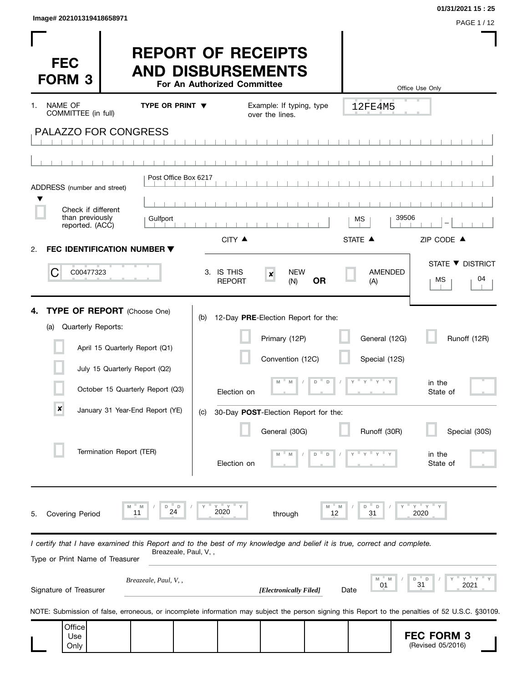| Image# 202101319418658971 | PAGE 1/12 |
|---------------------------|-----------|
|                           |           |

 $\overline{\phantom{a}}$ 

**01/31/2021 15 : 25**

I

| <b>FEC</b><br><b>FORM 3</b>                              |                                                                                                                         | <b>REPORT OF RECEIPTS</b><br><b>AND DISBURSEMENTS</b><br>For An Authorized Committee |                                                                          |                  |                                | ш<br>Office Use Only                                                                                                                             |
|----------------------------------------------------------|-------------------------------------------------------------------------------------------------------------------------|--------------------------------------------------------------------------------------|--------------------------------------------------------------------------|------------------|--------------------------------|--------------------------------------------------------------------------------------------------------------------------------------------------|
| <b>NAME OF</b><br>1.                                     | TYPE OR PRINT $\blacktriangledown$                                                                                      |                                                                                      | Example: If typing, type                                                 |                  | 12FE4M5                        |                                                                                                                                                  |
| COMMITTEE (in full)                                      | <b>PALAZZO FOR CONGRESS</b>                                                                                             |                                                                                      | over the lines.                                                          |                  |                                |                                                                                                                                                  |
| ADDRESS (number and street)                              |                                                                                                                         | Post Office Box 6217                                                                 |                                                                          |                  |                                |                                                                                                                                                  |
| Check if different<br>than previously<br>reported. (ACC) | Gulfport                                                                                                                | CITY ▲                                                                               |                                                                          |                  | МS<br>STATE A                  | 39506<br>ZIP CODE ▲                                                                                                                              |
| 2.<br>C<br>C00477323                                     | FEC IDENTIFICATION NUMBER ▼                                                                                             | 3. IS THIS<br><b>REPORT</b>                                                          | <b>NEW</b><br>$\pmb{\times}$<br>(N)                                      | <b>OR</b>        | <b>AMENDED</b><br>(A)          | STATE ▼ DISTRICT<br>04<br>МS                                                                                                                     |
| 4.<br>Quarterly Reports:<br>(a)                          | TYPE OF REPORT (Choose One)<br>April 15 Quarterly Report (Q1)<br>July 15 Quarterly Report (Q2)                          | (b)                                                                                  | 12-Day PRE-Election Report for the:<br>Primary (12P)<br>Convention (12C) |                  | General (12G)<br>Special (12S) | Runoff (12R)                                                                                                                                     |
|                                                          | October 15 Quarterly Report (Q3)                                                                                        | Election on                                                                          |                                                                          | D                |                                | in the<br>State of                                                                                                                               |
| $\pmb{\times}$                                           | January 31 Year-End Report (YE)                                                                                         | (C)                                                                                  | 30-Day POST-Election Report for the:<br>General (30G)                    |                  | Runoff (30R)                   | Special (30S)                                                                                                                                    |
|                                                          | Termination Report (TER)                                                                                                | Election on                                                                          | M                                                                        | D<br>D           |                                | in the<br>State of                                                                                                                               |
| <b>Covering Period</b><br>5.                             | M<br>D<br>D<br>24                                                                                                       | 2020                                                                                 | through                                                                  | $M -$<br>M<br>12 | D<br>D<br>31                   | $Y = Y$<br>2020                                                                                                                                  |
| Type or Print Name of Treasurer                          | I certify that I have examined this Report and to the best of my knowledge and belief it is true, correct and complete. | Breazeale, Paul, V,,                                                                 |                                                                          |                  |                                |                                                                                                                                                  |
| Signature of Treasurer                                   | Breazeale, Paul, V,,                                                                                                    |                                                                                      | [Electronically Filed]                                                   |                  | M<br>01<br>Date                | $Y =$<br>D<br>D<br>31<br>2021                                                                                                                    |
|                                                          |                                                                                                                         |                                                                                      |                                                                          |                  |                                | NOTE: Submission of false, erroneous, or incomplete information may subject the person signing this Report to the penalties of 52 U.S.C. §30109. |
| Office<br>Use<br>Only                                    |                                                                                                                         |                                                                                      |                                                                          |                  |                                | <b>FEC FORM 3</b><br>(Revised 05/2016)                                                                                                           |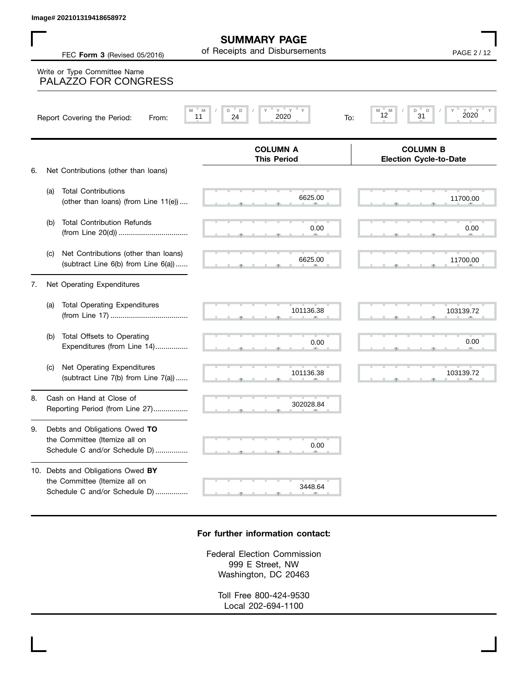|    | lmage# 202101319418658972                                                                           |                                                      |                                                  |
|----|-----------------------------------------------------------------------------------------------------|------------------------------------------------------|--------------------------------------------------|
|    | FEC Form 3 (Revised 05/2016)                                                                        | <b>SUMMARY PAGE</b><br>of Receipts and Disbursements | PAGE 2/12                                        |
|    | Write or Type Committee Name<br>PALAZZO FOR CONGRESS                                                |                                                      |                                                  |
|    | Report Covering the Period:<br>From:                                                                | $Y$ $Y$<br>M<br>D<br>D<br>24<br>2020<br>11<br>To:    | D<br>D<br>M<br>2020<br>12<br>31                  |
|    |                                                                                                     | <b>COLUMN A</b><br><b>This Period</b>                | <b>COLUMN B</b><br><b>Election Cycle-to-Date</b> |
| 6. | Net Contributions (other than loans)                                                                |                                                      |                                                  |
|    | <b>Total Contributions</b><br>(a)<br>(other than loans) (from Line 11(e))                           | 6625.00                                              | 11700.00                                         |
|    | <b>Total Contribution Refunds</b><br>(b)                                                            | 0.00                                                 | 0.00                                             |
|    | Net Contributions (other than loans)<br>(c)<br>(subtract Line 6(b) from Line 6(a))                  | 6625.00                                              | 11700.00                                         |
| 7. | Net Operating Expenditures                                                                          |                                                      |                                                  |
|    | <b>Total Operating Expenditures</b><br>(a)                                                          | 101136.38                                            | 103139.72                                        |
|    | Total Offsets to Operating<br>(b)<br>Expenditures (from Line 14)                                    | 0.00                                                 | 0.00                                             |
|    | Net Operating Expenditures<br>(c)<br>(subtract Line 7(b) from Line 7(a))                            | 101136.38                                            | 103139.72                                        |
| 8. | Cash on Hand at Close of<br>Reporting Period (from Line 27)                                         | 302028.84                                            |                                                  |
| 9. | Debts and Obligations Owed TO<br>the Committee (Itemize all on<br>Schedule C and/or Schedule D)     | 0.00                                                 |                                                  |
|    | 10. Debts and Obligations Owed BY<br>the Committee (Itemize all on<br>Schedule C and/or Schedule D) | 3448.64                                              |                                                  |

## **For further information contact:**

Federal Election Commission 999 E Street, NW Washington, DC 20463

> Toll Free 800-424-9530 Local 202-694-1100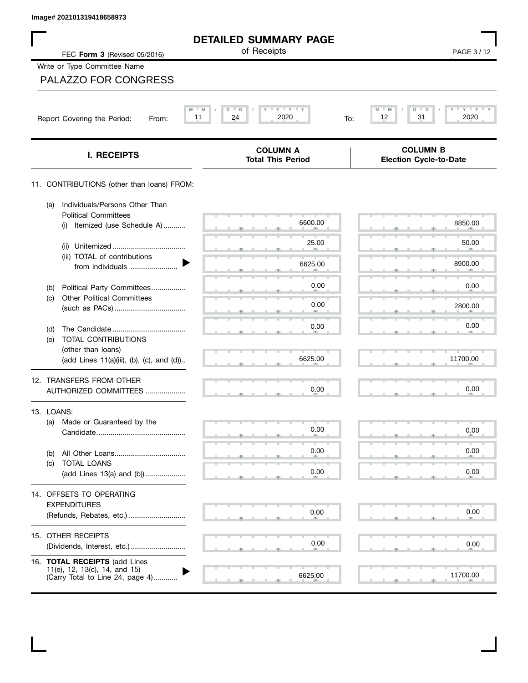| Image# 202101319418658973                                                                          |                                                         |                                                   |
|----------------------------------------------------------------------------------------------------|---------------------------------------------------------|---------------------------------------------------|
|                                                                                                    | <b>DETAILED SUMMARY PAGE</b>                            |                                                   |
| FEC Form 3 (Revised 05/2016)                                                                       | of Receipts                                             | PAGE 3/12                                         |
| Write or Type Committee Name                                                                       |                                                         |                                                   |
| <b>PALAZZO FOR CONGRESS</b>                                                                        |                                                         |                                                   |
| Report Covering the Period:<br>From:                                                               | $Y'$ $Y'$ $Y$<br>M<br>D<br>D<br>11<br>24<br>2020<br>To: | M<br>$Y = Y =$<br>M<br>D<br>D<br>31<br>2020<br>12 |
| I. RECEIPTS                                                                                        | <b>COLUMN A</b><br><b>Total This Period</b>             | <b>COLUMN B</b><br><b>Election Cycle-to-Date</b>  |
| 11. CONTRIBUTIONS (other than loans) FROM:                                                         |                                                         |                                                   |
| Individuals/Persons Other Than<br>(a)<br><b>Political Committees</b>                               |                                                         |                                                   |
| Itemized (use Schedule A)<br>(i)                                                                   | 6600.00                                                 | 8850.00                                           |
| (ii)                                                                                               | 25.00                                                   | 50.00                                             |
| (iii) TOTAL of contributions<br>from individuals                                                   | 6625.00                                                 | 8900.00                                           |
| Political Party Committees<br>(b)                                                                  | 0.00                                                    | 0.00                                              |
| <b>Other Political Committees</b><br>(c)                                                           | 0.00                                                    | 2800.00                                           |
| (d)                                                                                                | 0.00                                                    | 0.00                                              |
| TOTAL CONTRIBUTIONS<br>(e)                                                                         |                                                         |                                                   |
| (other than loans)<br>(add Lines 11(a)(iii), (b), (c), and (d))                                    | 6625.00                                                 | 11700.00                                          |
| 12. TRANSFERS FROM OTHER                                                                           |                                                         |                                                   |
| AUTHORIZED COMMITTEES                                                                              | 0.00                                                    | 0.00                                              |
| 13. LOANS:                                                                                         |                                                         |                                                   |
| Made or Guaranteed by the<br>(a)                                                                   | 0.00                                                    | 0.00                                              |
| (b)                                                                                                | 0.00                                                    | 0.00                                              |
| TOTAL LOANS<br>(c)<br>(add Lines 13(a) and (b))                                                    | 0.00                                                    | 0.00                                              |
| 14. OFFSETS TO OPERATING                                                                           |                                                         |                                                   |
| <b>EXPENDITURES</b>                                                                                |                                                         |                                                   |
| (Refunds, Rebates, etc.)                                                                           | 0.00                                                    | 0.00                                              |
| 15. OTHER RECEIPTS                                                                                 | 0.00                                                    | 0.00                                              |
| (Dividends, Interest, etc.)                                                                        |                                                         |                                                   |
| 16. TOTAL RECEIPTS (add Lines<br>11(e), 12, 13(c), 14, and 15)<br>(Carry Total to Line 24, page 4) | 6625.00                                                 | 11700.00                                          |

 $\mathbf I$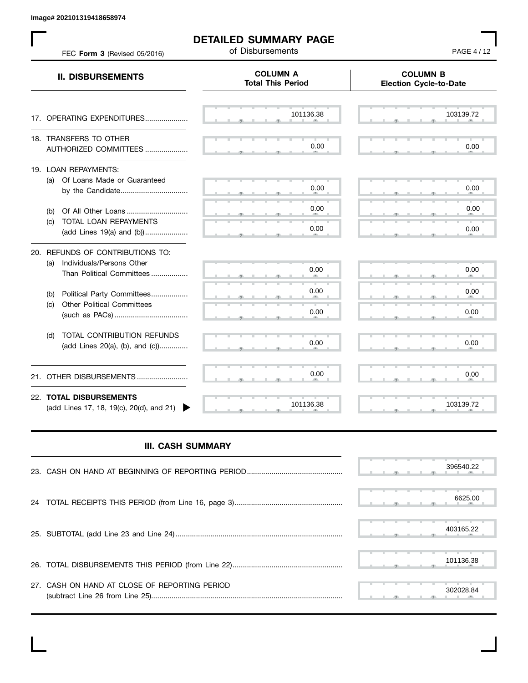**Image# 202101319418658974**

 $\mathbf{L}$ 

| FEC Form 3 (Revised 05/2016)                                                                   | <b>DETAILED SUMMARY PAGE</b><br>of Disbursements | PAGE 4 / 12                                      |
|------------------------------------------------------------------------------------------------|--------------------------------------------------|--------------------------------------------------|
| <b>II. DISBURSEMENTS</b>                                                                       | <b>COLUMN A</b><br><b>Total This Period</b>      | <b>COLUMN B</b><br><b>Election Cycle-to-Date</b> |
| 17. OPERATING EXPENDITURES                                                                     | 101136.38                                        | 103139.72                                        |
| 18. TRANSFERS TO OTHER<br>AUTHORIZED COMMITTEES                                                | 0.00                                             | 0.00                                             |
| 19. LOAN REPAYMENTS:<br>Of Loans Made or Guaranteed<br>(a)<br>by the Candidate                 | 0.00                                             | 0.00                                             |
| (b)<br>TOTAL LOAN REPAYMENTS<br>(c)<br>(add Lines 19(a) and (b))                               | 0.00<br>0.00                                     | 0.00<br>0.00                                     |
| 20. REFUNDS OF CONTRIBUTIONS TO:<br>(a) Individuals/Persons Other<br>Than Political Committees | 0.00                                             | 0.00                                             |
| Political Party Committees<br>(b)<br><b>Other Political Committees</b><br>(c)                  | 0.00<br>0.00                                     | 0.00<br>0.00                                     |
| TOTAL CONTRIBUTION REFUNDS<br>(d)<br>(add Lines 20(a), (b), and (c))                           | 0.00                                             | 0.00                                             |
| OTHER DISBURSEMENTS<br>21.                                                                     | 0.00                                             | 0.00                                             |
| 22. TOTAL DISBURSEMENTS<br>(add Lines 17, 18, 19(c), 20(d), and 21)                            | 101136.38                                        | 103139.72                                        |

## **III. CASH SUMMARY**

|                                               |  |  |  | 396540.22 |
|-----------------------------------------------|--|--|--|-----------|
|                                               |  |  |  | 6625.00   |
|                                               |  |  |  | 403165.22 |
|                                               |  |  |  | 101136.38 |
| 27. CASH ON HAND AT CLOSE OF REPORTING PERIOD |  |  |  | 302028.84 |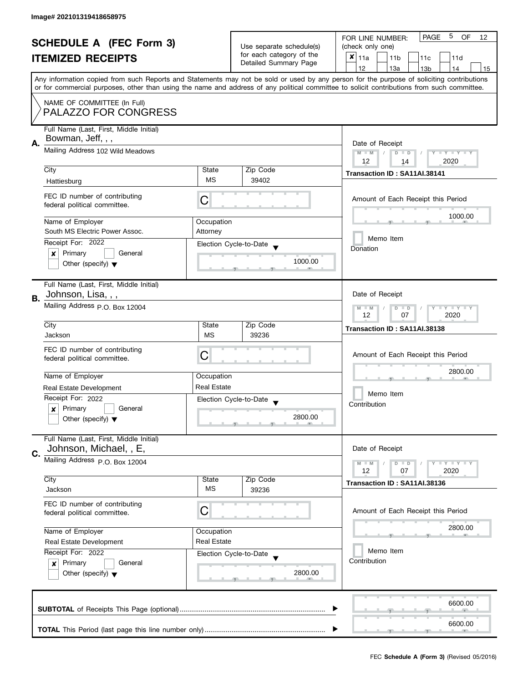|    | <b>SCHEDULE A (FEC Form 3)</b>                                                                                                             |                                                |                                                   | 5<br><b>PAGE</b><br><b>OF</b><br>FOR LINE NUMBER:<br>12                                                                                   |  |  |  |  |  |  |
|----|--------------------------------------------------------------------------------------------------------------------------------------------|------------------------------------------------|---------------------------------------------------|-------------------------------------------------------------------------------------------------------------------------------------------|--|--|--|--|--|--|
|    |                                                                                                                                            |                                                | Use separate schedule(s)                          | (check only one)                                                                                                                          |  |  |  |  |  |  |
|    | <b>ITEMIZED RECEIPTS</b>                                                                                                                   |                                                | for each category of the<br>Detailed Summary Page | $x _{11a}$<br>11 <sub>b</sub><br>11 <sub>c</sub><br>11d                                                                                   |  |  |  |  |  |  |
|    |                                                                                                                                            |                                                |                                                   | 12<br>13a<br>13 <sub>b</sub><br>14<br>15                                                                                                  |  |  |  |  |  |  |
|    |                                                                                                                                            |                                                |                                                   | Any information copied from such Reports and Statements may not be sold or used by any person for the purpose of soliciting contributions |  |  |  |  |  |  |
|    | or for commercial purposes, other than using the name and address of any political committee to solicit contributions from such committee. |                                                |                                                   |                                                                                                                                           |  |  |  |  |  |  |
|    | NAME OF COMMITTEE (In Full)                                                                                                                |                                                |                                                   |                                                                                                                                           |  |  |  |  |  |  |
|    | PALAZZO FOR CONGRESS                                                                                                                       |                                                |                                                   |                                                                                                                                           |  |  |  |  |  |  |
|    |                                                                                                                                            |                                                |                                                   |                                                                                                                                           |  |  |  |  |  |  |
|    | Full Name (Last, First, Middle Initial)                                                                                                    |                                                |                                                   |                                                                                                                                           |  |  |  |  |  |  |
| Α. | Bowman, Jeff, , ,                                                                                                                          | Date of Receipt                                |                                                   |                                                                                                                                           |  |  |  |  |  |  |
|    | Mailing Address 102 Wild Meadows                                                                                                           | $M - M$<br>$\sqrt{2}$<br>$D$ $D$<br>Y FY FY FY |                                                   |                                                                                                                                           |  |  |  |  |  |  |
|    |                                                                                                                                            |                                                |                                                   | 12<br>2020<br>14                                                                                                                          |  |  |  |  |  |  |
|    | City                                                                                                                                       | State                                          | Zip Code                                          | Transaction ID: SA11AI.38141                                                                                                              |  |  |  |  |  |  |
|    | Hattiesburg                                                                                                                                | <b>MS</b>                                      | 39402                                             |                                                                                                                                           |  |  |  |  |  |  |
|    | FEC ID number of contributing                                                                                                              |                                                |                                                   | Amount of Each Receipt this Period                                                                                                        |  |  |  |  |  |  |
|    | federal political committee.                                                                                                               | C                                              |                                                   |                                                                                                                                           |  |  |  |  |  |  |
|    |                                                                                                                                            |                                                |                                                   | 1000.00                                                                                                                                   |  |  |  |  |  |  |
|    | Name of Employer                                                                                                                           | Occupation                                     |                                                   |                                                                                                                                           |  |  |  |  |  |  |
|    | South MS Electric Power Assoc.                                                                                                             | Attorney                                       |                                                   | Memo Item                                                                                                                                 |  |  |  |  |  |  |
|    | Receipt For: 2022                                                                                                                          |                                                | Election Cycle-to-Date                            | Donation                                                                                                                                  |  |  |  |  |  |  |
|    | Primary<br>General<br>×                                                                                                                    |                                                | 1000.00                                           |                                                                                                                                           |  |  |  |  |  |  |
|    | Other (specify) $\blacktriangledown$                                                                                                       |                                                |                                                   |                                                                                                                                           |  |  |  |  |  |  |
|    |                                                                                                                                            |                                                |                                                   |                                                                                                                                           |  |  |  |  |  |  |
|    | Full Name (Last, First, Middle Initial)                                                                                                    |                                                |                                                   |                                                                                                                                           |  |  |  |  |  |  |
| В. | Johnson, Lisa, , ,                                                                                                                         |                                                |                                                   | Date of Receipt                                                                                                                           |  |  |  |  |  |  |
|    | Mailing Address P.O. Box 12004                                                                                                             |                                                |                                                   | $Y = Y = Y$<br>$M - M$<br>D<br>$\Box$                                                                                                     |  |  |  |  |  |  |
|    |                                                                                                                                            |                                                |                                                   | 2020<br>12<br>07                                                                                                                          |  |  |  |  |  |  |
|    | City                                                                                                                                       | State                                          | Zip Code                                          | Transaction ID: SA11AI.38138                                                                                                              |  |  |  |  |  |  |
|    | Jackson                                                                                                                                    | <b>MS</b>                                      | 39236                                             |                                                                                                                                           |  |  |  |  |  |  |
|    | FEC ID number of contributing                                                                                                              |                                                |                                                   | Amount of Each Receipt this Period                                                                                                        |  |  |  |  |  |  |
|    | federal political committee.                                                                                                               | C                                              |                                                   |                                                                                                                                           |  |  |  |  |  |  |
|    | Name of Employer                                                                                                                           |                                                |                                                   | 2800.00                                                                                                                                   |  |  |  |  |  |  |
|    |                                                                                                                                            | Occupation<br><b>Real Estate</b>               |                                                   |                                                                                                                                           |  |  |  |  |  |  |
|    | Real Estate Development                                                                                                                    |                                                |                                                   | Memo Item                                                                                                                                 |  |  |  |  |  |  |
|    | Receipt For: 2022                                                                                                                          |                                                | Election Cycle-to-Date                            | Contribution                                                                                                                              |  |  |  |  |  |  |
|    | Primary<br>General<br>x                                                                                                                    |                                                | 2800.00                                           |                                                                                                                                           |  |  |  |  |  |  |
|    | Other (specify) $\blacktriangledown$                                                                                                       |                                                |                                                   |                                                                                                                                           |  |  |  |  |  |  |
|    | Full Name (Last, First, Middle Initial)                                                                                                    |                                                |                                                   |                                                                                                                                           |  |  |  |  |  |  |
|    | Johnson, Michael, , E,                                                                                                                     |                                                |                                                   | Date of Receipt                                                                                                                           |  |  |  |  |  |  |
| C. | Mailing Address P.O. Box 12004                                                                                                             |                                                |                                                   |                                                                                                                                           |  |  |  |  |  |  |
|    |                                                                                                                                            |                                                |                                                   | $M - M$<br>$Y - Y - Y$<br>D<br>$\blacksquare$<br>12<br>2020<br>07                                                                         |  |  |  |  |  |  |
|    | City                                                                                                                                       | State                                          | Zip Code                                          |                                                                                                                                           |  |  |  |  |  |  |
|    | Jackson                                                                                                                                    | <b>MS</b>                                      | 39236                                             | Transaction ID: SA11AI.38136                                                                                                              |  |  |  |  |  |  |
|    |                                                                                                                                            |                                                |                                                   |                                                                                                                                           |  |  |  |  |  |  |
|    | FEC ID number of contributing<br>federal political committee.                                                                              | C                                              |                                                   | Amount of Each Receipt this Period                                                                                                        |  |  |  |  |  |  |
|    |                                                                                                                                            |                                                |                                                   |                                                                                                                                           |  |  |  |  |  |  |
|    | Name of Employer                                                                                                                           | Occupation                                     |                                                   | 2800.00                                                                                                                                   |  |  |  |  |  |  |
|    | Real Estate Development                                                                                                                    | <b>Real Estate</b>                             |                                                   |                                                                                                                                           |  |  |  |  |  |  |
|    | Receipt For: 2022                                                                                                                          |                                                | Election Cycle-to-Date                            | Memo Item                                                                                                                                 |  |  |  |  |  |  |
|    | Primary<br>General<br>$\boldsymbol{x}$                                                                                                     |                                                |                                                   | Contribution                                                                                                                              |  |  |  |  |  |  |
|    | Other (specify) $\blacktriangledown$                                                                                                       |                                                | 2800.00                                           |                                                                                                                                           |  |  |  |  |  |  |
|    |                                                                                                                                            |                                                |                                                   |                                                                                                                                           |  |  |  |  |  |  |
|    |                                                                                                                                            |                                                |                                                   |                                                                                                                                           |  |  |  |  |  |  |
|    |                                                                                                                                            |                                                |                                                   | 6600.00                                                                                                                                   |  |  |  |  |  |  |
|    |                                                                                                                                            |                                                |                                                   |                                                                                                                                           |  |  |  |  |  |  |
|    |                                                                                                                                            |                                                |                                                   | 6600.00                                                                                                                                   |  |  |  |  |  |  |
|    |                                                                                                                                            |                                                |                                                   |                                                                                                                                           |  |  |  |  |  |  |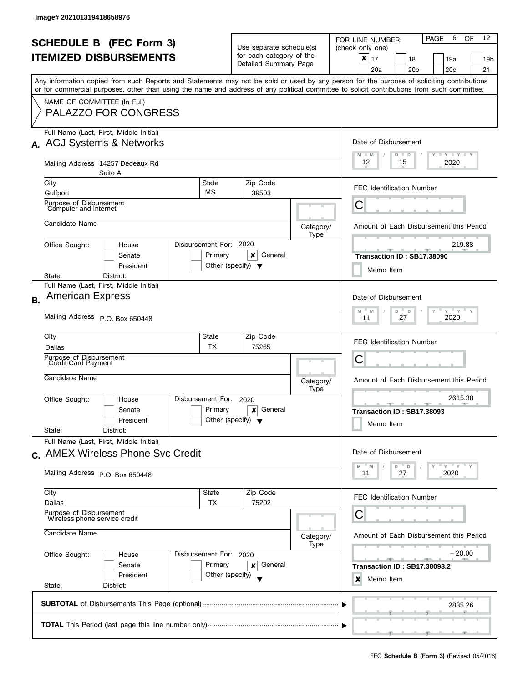| <b>SCHEDULE B (FEC Form 3)</b><br><b>ITEMIZED DISBURSEMENTS</b><br>Any information copied from such Reports and Statements may not be sold or used by any person for the purpose of soliciting contributions<br>or for commercial purposes, other than using the name and address of any political committee to solicit contributions from such committee. |                                                                                         |                                           |                                                                                                                   |                                                                           |      | Use separate schedule(s)<br>for each category of the<br>Detailed Summary Page |                   | 12<br>6<br>OF<br><b>PAGE</b><br>FOR LINE NUMBER:<br>(check only one)<br>$\boldsymbol{x}$<br>17<br>18<br>19a<br>19 <sub>b</sub><br>20 <sub>b</sub><br>20 <sub>c</sub><br>21<br>20a |
|------------------------------------------------------------------------------------------------------------------------------------------------------------------------------------------------------------------------------------------------------------------------------------------------------------------------------------------------------------|-----------------------------------------------------------------------------------------|-------------------------------------------|-------------------------------------------------------------------------------------------------------------------|---------------------------------------------------------------------------|------|-------------------------------------------------------------------------------|-------------------|-----------------------------------------------------------------------------------------------------------------------------------------------------------------------------------|
|                                                                                                                                                                                                                                                                                                                                                            | NAME OF COMMITTEE (In Full)                                                             | PALAZZO FOR CONGRESS                      |                                                                                                                   |                                                                           |      |                                                                               |                   |                                                                                                                                                                                   |
|                                                                                                                                                                                                                                                                                                                                                            | Full Name (Last, First, Middle Initial)                                                 | A. AGJ Systems & Networks                 | Date of Disbursement<br>$M - M$<br>$\bot$ $\gamma$ $\bot$ $\gamma$ $\bot$ $\gamma$<br>$D$ $D$<br>12<br>15<br>2020 |                                                                           |      |                                                                               |                   |                                                                                                                                                                                   |
|                                                                                                                                                                                                                                                                                                                                                            | Mailing Address 14257 Dedeaux Rd<br>City                                                | Suite A                                   |                                                                                                                   |                                                                           |      |                                                                               |                   |                                                                                                                                                                                   |
|                                                                                                                                                                                                                                                                                                                                                            | Gulfport<br>Purpose of Disbursement                                                     |                                           |                                                                                                                   | МS                                                                        |      | 39503                                                                         |                   | <b>FEC Identification Number</b><br>С                                                                                                                                             |
|                                                                                                                                                                                                                                                                                                                                                            | Computer and Internet<br>Candidate Name                                                 |                                           |                                                                                                                   |                                                                           |      |                                                                               | Category/         | Amount of Each Disbursement this Period                                                                                                                                           |
|                                                                                                                                                                                                                                                                                                                                                            | Office Sought:                                                                          | House<br>Senate<br>President              |                                                                                                                   | Disbursement For: 2020<br>Primary<br>Other (specify) $\blacktriangledown$ | x    | General                                                                       | Type              | 219.88<br><u>______</u><br>Transaction ID: SB17.38090<br>Memo Item                                                                                                                |
|                                                                                                                                                                                                                                                                                                                                                            | State:<br>Full Name (Last, First, Middle Initial)                                       | District:                                 |                                                                                                                   |                                                                           |      |                                                                               |                   |                                                                                                                                                                                   |
| <b>B.</b>                                                                                                                                                                                                                                                                                                                                                  | <b>American Express</b><br>Mailing Address P.O. Box 650448                              |                                           |                                                                                                                   |                                                                           |      |                                                                               |                   | Date of Disbursement<br>$Y$ $Y$ $Y$<br>$D =$<br>$\mathsf D$<br>Y<br>M<br>M<br>27<br>2020<br>11                                                                                    |
|                                                                                                                                                                                                                                                                                                                                                            | City<br>Dallas                                                                          |                                           |                                                                                                                   | <b>State</b><br>TX                                                        |      | Zip Code<br>75265                                                             |                   | <b>FEC Identification Number</b>                                                                                                                                                  |
|                                                                                                                                                                                                                                                                                                                                                            | Purpose of Disbursement<br><b>Credit Card Payment</b>                                   |                                           |                                                                                                                   |                                                                           |      |                                                                               |                   | С                                                                                                                                                                                 |
|                                                                                                                                                                                                                                                                                                                                                            | Candidate Name                                                                          |                                           |                                                                                                                   |                                                                           |      |                                                                               | Category/<br>Type | Amount of Each Disbursement this Period                                                                                                                                           |
|                                                                                                                                                                                                                                                                                                                                                            | Office Sought:<br>State:                                                                | House<br>Senate<br>President<br>District: |                                                                                                                   | Disbursement For:<br>Primary<br>Other (specify) $\blacktriangledown$      | 2020 | General<br>×                                                                  |                   | 2615.38<br>- 92<br>Transaction ID: SB17.38093<br>Memo Item                                                                                                                        |
|                                                                                                                                                                                                                                                                                                                                                            | Full Name (Last, First, Middle Initial)                                                 | c. AMEX Wireless Phone Svc Credit         |                                                                                                                   |                                                                           |      |                                                                               |                   | Date of Disbursement<br>" γ " γ " γ                                                                                                                                               |
|                                                                                                                                                                                                                                                                                                                                                            | Mailing Address P.O. Box 650448                                                         |                                           |                                                                                                                   |                                                                           |      |                                                                               |                   | M<br>D =<br>D<br>M<br>11<br>27<br>2020                                                                                                                                            |
|                                                                                                                                                                                                                                                                                                                                                            | City<br>Dallas                                                                          |                                           |                                                                                                                   | <b>State</b><br>ТX                                                        |      | Zip Code<br>75202                                                             |                   | FEC Identification Number                                                                                                                                                         |
|                                                                                                                                                                                                                                                                                                                                                            | Purpose of Disbursement<br>Wireless phone service credit<br>Candidate Name<br>Category/ |                                           |                                                                                                                   |                                                                           |      |                                                                               |                   | С<br>Amount of Each Disbursement this Period                                                                                                                                      |
| Office Sought:<br>Disbursement For: 2020<br>House                                                                                                                                                                                                                                                                                                          |                                                                                         |                                           |                                                                                                                   |                                                                           |      |                                                                               | Type              | – 20.00                                                                                                                                                                           |
|                                                                                                                                                                                                                                                                                                                                                            | State:                                                                                  | Senate<br>President<br>District:          |                                                                                                                   | Primary<br>Other (specify)                                                | ×    | General                                                                       |                   | Transaction ID: SB17.38093.2<br>×<br>Memo Item                                                                                                                                    |
|                                                                                                                                                                                                                                                                                                                                                            |                                                                                         |                                           | 2835.26                                                                                                           |                                                                           |      |                                                                               |                   |                                                                                                                                                                                   |
|                                                                                                                                                                                                                                                                                                                                                            |                                                                                         |                                           |                                                                                                                   |                                                                           |      |                                                                               |                   |                                                                                                                                                                                   |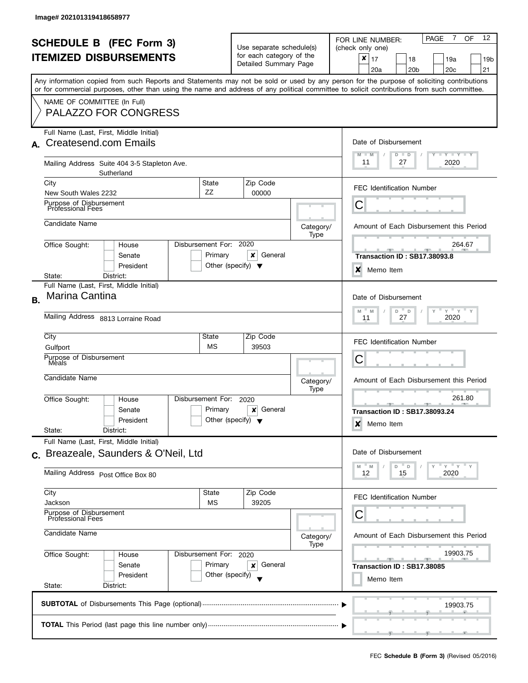|                | <b>SCHEDULE B (FEC Form 3)</b><br><b>ITEMIZED DISBURSEMENTS</b><br>Any information copied from such Reports and Statements may not be sold or used by any person for the purpose of soliciting contributions<br>or for commercial purposes, other than using the name and address of any political committee to solicit contributions from such committee. |                                                               | Use separate schedule(s)<br>for each category of the<br>Detailed Summary Page |                                         | $\overline{7}$<br>12<br>OF<br><b>PAGE</b><br>FOR LINE NUMBER:<br>(check only one)<br>$\boldsymbol{x}$<br>17<br>18<br>19a<br>19b<br>20a<br>20 <sub>b</sub><br>20c<br>21 |  |  |
|----------------|------------------------------------------------------------------------------------------------------------------------------------------------------------------------------------------------------------------------------------------------------------------------------------------------------------------------------------------------------------|---------------------------------------------------------------|-------------------------------------------------------------------------------|-----------------------------------------|------------------------------------------------------------------------------------------------------------------------------------------------------------------------|--|--|
|                | NAME OF COMMITTEE (In Full)<br><b>PALAZZO FOR CONGRESS</b>                                                                                                                                                                                                                                                                                                 |                                                               |                                                                               |                                         |                                                                                                                                                                        |  |  |
| A.             | Full Name (Last, First, Middle Initial)<br><b>Createsend.com Emails</b>                                                                                                                                                                                                                                                                                    | Date of Disbursement<br>$M - M$<br><b>LY LY LY</b><br>$D$ $D$ |                                                                               |                                         |                                                                                                                                                                        |  |  |
|                | Mailing Address Suite 404 3-5 Stapleton Ave.<br>Sutherland<br>State<br>City                                                                                                                                                                                                                                                                                |                                                               | 11<br>27<br>2020                                                              |                                         |                                                                                                                                                                        |  |  |
|                | New South Wales 2232<br>Purpose of Disbursement                                                                                                                                                                                                                                                                                                            | ZZ                                                            | Zip Code<br>00000                                                             |                                         | <b>FEC Identification Number</b><br>Ĉ                                                                                                                                  |  |  |
|                | <b>Professional Fees</b><br>Candidate Name                                                                                                                                                                                                                                                                                                                 |                                                               |                                                                               | Category/                               | Amount of Each Disbursement this Period                                                                                                                                |  |  |
|                | Office Sought:<br>House                                                                                                                                                                                                                                                                                                                                    | Disbursement For: 2020                                        |                                                                               | Type                                    | 264.67                                                                                                                                                                 |  |  |
|                | Senate<br>President                                                                                                                                                                                                                                                                                                                                        | Primary<br>Other (specify) $\blacktriangledown$               | x<br>General                                                                  |                                         | <b>Transaction ID: SB17.38093.8</b><br>X<br>Memo Item                                                                                                                  |  |  |
|                | District:<br>State:<br>Full Name (Last, First, Middle Initial)                                                                                                                                                                                                                                                                                             |                                                               |                                                                               |                                         |                                                                                                                                                                        |  |  |
| В.             | Marina Cantina<br>Mailing Address 8813 Lorraine Road                                                                                                                                                                                                                                                                                                       |                                                               |                                                                               |                                         | Date of Disbursement<br>$Y$ $Y$ $Y$<br>M<br>M<br>D<br>$\mathsf D$<br>27<br>2020<br>11                                                                                  |  |  |
|                | City                                                                                                                                                                                                                                                                                                                                                       | State                                                         | Zip Code                                                                      |                                         |                                                                                                                                                                        |  |  |
|                | Gulfport                                                                                                                                                                                                                                                                                                                                                   | <b>MS</b>                                                     | 39503                                                                         |                                         | <b>FEC Identification Number</b>                                                                                                                                       |  |  |
|                | Purpose of Disbursement<br>Meals                                                                                                                                                                                                                                                                                                                           |                                                               |                                                                               |                                         | С                                                                                                                                                                      |  |  |
|                | Candidate Name                                                                                                                                                                                                                                                                                                                                             |                                                               |                                                                               | Category/<br>Type                       | Amount of Each Disbursement this Period                                                                                                                                |  |  |
|                | Disbursement For:<br>Office Sought:<br>House<br>Senate<br>President<br>State:<br>District:                                                                                                                                                                                                                                                                 | Primary<br>Other (specify) $\blacktriangledown$               | 2020<br>General<br>×                                                          |                                         | 261.80<br><b>Transaction ID: SB17.38093.24</b><br>×<br>Memo Item                                                                                                       |  |  |
|                | Full Name (Last, First, Middle Initial)                                                                                                                                                                                                                                                                                                                    |                                                               |                                                                               |                                         | Date of Disbursement                                                                                                                                                   |  |  |
| $\mathbf{C}$ . | Breazeale, Saunders & O'Neil, Ltd<br>Mailing Address Post Office Box 80                                                                                                                                                                                                                                                                                    |                                                               |                                                                               |                                         | $Y'$ $Y'$<br>D<br>D<br>M<br>M<br>15<br>2020<br>12                                                                                                                      |  |  |
|                | City<br>Jackson                                                                                                                                                                                                                                                                                                                                            | State<br>MS                                                   | Zip Code<br>39205                                                             |                                         | <b>FEC Identification Number</b>                                                                                                                                       |  |  |
|                | Purpose of Disbursement<br>Professional Fees                                                                                                                                                                                                                                                                                                               |                                                               | С                                                                             |                                         |                                                                                                                                                                        |  |  |
|                | Candidate Name                                                                                                                                                                                                                                                                                                                                             |                                                               | Category/<br>Type                                                             | Amount of Each Disbursement this Period |                                                                                                                                                                        |  |  |
|                | Office Sought:<br>House<br>Senate                                                                                                                                                                                                                                                                                                                          | Disbursement For: 2020<br>Primary                             | General<br>×                                                                  |                                         | 19903.75<br>$-1$<br>$\rightarrow$<br>Transaction ID: SB17.38085                                                                                                        |  |  |
|                | President<br>Other (specify)<br>State:<br>District:                                                                                                                                                                                                                                                                                                        | Memo Item                                                     |                                                                               |                                         |                                                                                                                                                                        |  |  |
|                |                                                                                                                                                                                                                                                                                                                                                            |                                                               |                                                                               |                                         | 19903.75                                                                                                                                                               |  |  |
|                |                                                                                                                                                                                                                                                                                                                                                            |                                                               |                                                                               |                                         |                                                                                                                                                                        |  |  |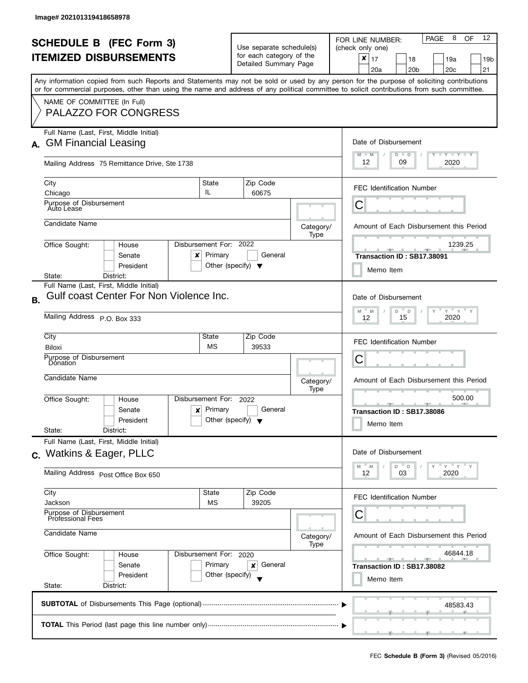|    | <b>SCHEDULE B (FEC Form 3)</b><br><b>ITEMIZED DISBURSEMENTS</b>                                                                                                                                                                                                                                                                                       |                                                                                   | Use separate schedule(s)<br>for each category of the<br>Detailed Summary Page    |                   | 8<br>12<br>OF<br>PAGE<br>FOR LINE NUMBER:<br>(check only one)<br>$\pmb{\times}$<br>17<br>19a<br>18<br>19b<br>20a<br>20 <sub>b</sub><br>20c<br>21 |
|----|-------------------------------------------------------------------------------------------------------------------------------------------------------------------------------------------------------------------------------------------------------------------------------------------------------------------------------------------------------|-----------------------------------------------------------------------------------|----------------------------------------------------------------------------------|-------------------|--------------------------------------------------------------------------------------------------------------------------------------------------|
|    | Any information copied from such Reports and Statements may not be sold or used by any person for the purpose of soliciting contributions<br>or for commercial purposes, other than using the name and address of any political committee to solicit contributions from such committee.<br>NAME OF COMMITTEE (In Full)<br><b>PALAZZO FOR CONGRESS</b> |                                                                                   |                                                                                  |                   |                                                                                                                                                  |
| А. | Full Name (Last, First, Middle Initial)<br><b>GM Financial Leasing</b><br>Mailing Address 75 Remittance Drive, Ste 1738                                                                                                                                                                                                                               | Date of Disbursement<br>$T - Y = Y - Y$<br>$M - M$<br>$D$ $D$<br>12<br>09<br>2020 |                                                                                  |                   |                                                                                                                                                  |
|    | City<br>Chicago<br>Purpose of Disbursement<br>Auto Lease                                                                                                                                                                                                                                                                                              | State<br>IL.                                                                      | Zip Code<br>60675                                                                |                   | <b>FEC Identification Number</b><br>Ĉ                                                                                                            |
|    | Candidate Name<br>Disbursement For: 2022<br>Office Sought:<br>House                                                                                                                                                                                                                                                                                   |                                                                                   |                                                                                  | Category/<br>Type | Amount of Each Disbursement this Period<br>1239.25                                                                                               |
|    | Senate<br>x<br>President<br>District:<br>State:                                                                                                                                                                                                                                                                                                       | Primary<br>Other (specify) $\blacktriangledown$                                   | General                                                                          |                   | Transaction ID: SB17.38091<br>Memo Item                                                                                                          |
| Β. | Full Name (Last, First, Middle Initial)<br>Gulf coast Center For Non Violence Inc.<br>Mailing Address P.O. Box 333                                                                                                                                                                                                                                    |                                                                                   |                                                                                  |                   | Date of Disbursement<br>$Y$ $Y$ $Y$<br>M<br>$D$ $D$<br>M<br>$\mathsf{Y}$<br>15<br>2020<br>12                                                     |
|    | City<br>Biloxi<br>Purpose of Disbursement<br>Donation                                                                                                                                                                                                                                                                                                 | State<br><b>MS</b>                                                                | Zip Code<br>39533                                                                |                   | <b>FEC Identification Number</b><br>С                                                                                                            |
|    | Candidate Name<br>Disbursement For:<br>Office Sought:<br>House<br>Senate<br>x<br>President<br>State:<br>District:                                                                                                                                                                                                                                     | Primary<br>Other (specify) $\blacktriangledown$                                   | 2022<br>General                                                                  | Category/<br>Type | Amount of Each Disbursement this Period<br>500.00<br><u>.</u><br>Transaction ID: SB17.38086<br>Memo Item                                         |
|    | Full Name (Last, First, Middle Initial)<br>c. Watkins & Eager, PLLC<br>Mailing Address Post Office Box 650                                                                                                                                                                                                                                            |                                                                                   |                                                                                  |                   | Date of Disbursement<br>$Y'$ $Y'$<br>D<br>D<br>M<br>M<br>03<br>2020<br>12                                                                        |
|    | City<br>State<br>Jackson<br>МS<br>Purpose of Disbursement<br>Professional Fees<br>Candidate Name                                                                                                                                                                                                                                                      | Category/                                                                         | <b>FEC Identification Number</b><br>С<br>Amount of Each Disbursement this Period |                   |                                                                                                                                                  |
|    | Office Sought:<br>Disbursement For: 2020<br>House<br>Senate<br>President<br>State:<br>District:                                                                                                                                                                                                                                                       | Primary<br>Other (specify)                                                        | General<br>×                                                                     | Type              | 46844.18<br>$\rightarrow$<br>Transaction ID: SB17.38082<br>Memo Item                                                                             |
|    | 48583.43                                                                                                                                                                                                                                                                                                                                              |                                                                                   |                                                                                  |                   |                                                                                                                                                  |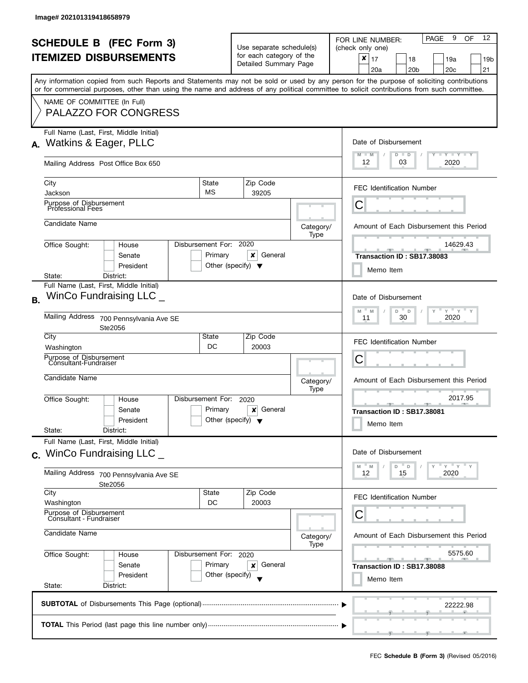|           | <b>SCHEDULE B (FEC Form 3)</b><br><b>ITEMIZED DISBURSEMENTS</b>                                                                                                                                          |                                                                                   | Use separate schedule(s)<br>for each category of the<br>Detailed Summary Page |                      |                   | 9<br>12<br><b>PAGE</b><br>OF<br>FOR LINE NUMBER:<br>(check only one)<br>$\boldsymbol{x}$<br>17<br>18<br>19a<br>19b<br>20a<br>20 <sub>b</sub><br>20c<br>21 |  |  |
|-----------|----------------------------------------------------------------------------------------------------------------------------------------------------------------------------------------------------------|-----------------------------------------------------------------------------------|-------------------------------------------------------------------------------|----------------------|-------------------|-----------------------------------------------------------------------------------------------------------------------------------------------------------|--|--|
|           | or for commercial purposes, other than using the name and address of any political committee to solicit contributions from such committee.<br>NAME OF COMMITTEE (In Full)<br><b>PALAZZO FOR CONGRESS</b> |                                                                                   |                                                                               |                      |                   | Any information copied from such Reports and Statements may not be sold or used by any person for the purpose of soliciting contributions                 |  |  |
| А.        | Full Name (Last, First, Middle Initial)<br>Watkins & Eager, PLLC<br>Mailing Address Post Office Box 650                                                                                                  | Date of Disbursement<br>$T - Y = Y + Y$<br>$M - M$<br>$D$ $D$<br>12<br>03<br>2020 |                                                                               |                      |                   |                                                                                                                                                           |  |  |
|           | City<br>Jackson                                                                                                                                                                                          | State<br><b>MS</b>                                                                |                                                                               | Zip Code<br>39205    |                   | <b>FEC Identification Number</b>                                                                                                                          |  |  |
|           | Purpose of Disbursement<br>Professional Fees                                                                                                                                                             |                                                                                   |                                                                               |                      |                   | Ĉ                                                                                                                                                         |  |  |
|           | Candidate Name                                                                                                                                                                                           |                                                                                   |                                                                               |                      | Category/<br>Type | Amount of Each Disbursement this Period                                                                                                                   |  |  |
|           | Office Sought:<br>House<br>Senate<br>President                                                                                                                                                           | Disbursement For: 2020<br>Primary<br>Other (specify) $\blacktriangledown$         |                                                                               | x<br>General         |                   | 14629.43<br>Transaction ID: SB17.38083<br>Memo Item                                                                                                       |  |  |
| <b>B.</b> | State:<br>District:<br>Full Name (Last, First, Middle Initial)<br>WinCo Fundraising LLC _<br><b>Mailing Address</b><br>700 Pennsylvania Ave SE                                                           |                                                                                   |                                                                               |                      |                   | Date of Disbursement<br>$Y$ $Y$ $Y$<br>M<br>D<br>M<br>D<br>Y<br>30<br>2020<br>11                                                                          |  |  |
|           | Ste2056<br>City<br>Washington                                                                                                                                                                            | State<br>DC                                                                       | Zip Code<br>20003                                                             |                      |                   | FEC Identification Number                                                                                                                                 |  |  |
|           | Purpose of Disbursement<br>Consultant-Fundraiser                                                                                                                                                         |                                                                                   |                                                                               |                      |                   | С                                                                                                                                                         |  |  |
|           | Candidate Name                                                                                                                                                                                           |                                                                                   |                                                                               |                      | Category/<br>Type | Amount of Each Disbursement this Period                                                                                                                   |  |  |
|           | Office Sought:<br>House<br>Senate<br>President<br>State:<br>District:                                                                                                                                    | Disbursement For:<br>Primary<br>Other (specify) $\blacktriangledown$              |                                                                               | 2020<br>General<br>X |                   | 2017.95<br>_______________________________<br>Transaction ID: SB17.38081<br>Memo Item                                                                     |  |  |
|           | Full Name (Last, First, Middle Initial)<br>$c.$ WinCo Fundraising LLC $\_$                                                                                                                               |                                                                                   |                                                                               |                      |                   | Date of Disbursement                                                                                                                                      |  |  |
|           | Mailing Address 700 Pennsylvania Ave SE<br>Ste2056                                                                                                                                                       |                                                                                   |                                                                               |                      |                   | $Y^{\perp}Y$<br>D<br>D<br>M<br>M<br>2020<br>12<br>15                                                                                                      |  |  |
|           | City<br>Washington                                                                                                                                                                                       | State<br>DC                                                                       |                                                                               | Zip Code<br>20003    |                   | <b>FEC Identification Number</b>                                                                                                                          |  |  |
|           | Purpose of Disbursement<br>Consultant - Fundraiser<br>Candidate Name                                                                                                                                     | С<br>Amount of Each Disbursement this Period<br>Category/                         |                                                                               |                      |                   |                                                                                                                                                           |  |  |
|           | Office Sought:<br>Disbursement For: 2020<br>House<br>Senate<br>President<br>State:<br>District:                                                                                                          | 5575.60<br>Transaction ID: SB17.38088<br>Memo Item                                |                                                                               |                      |                   |                                                                                                                                                           |  |  |
|           |                                                                                                                                                                                                          |                                                                                   |                                                                               |                      |                   | 22222.98                                                                                                                                                  |  |  |
|           |                                                                                                                                                                                                          |                                                                                   |                                                                               |                      |                   |                                                                                                                                                           |  |  |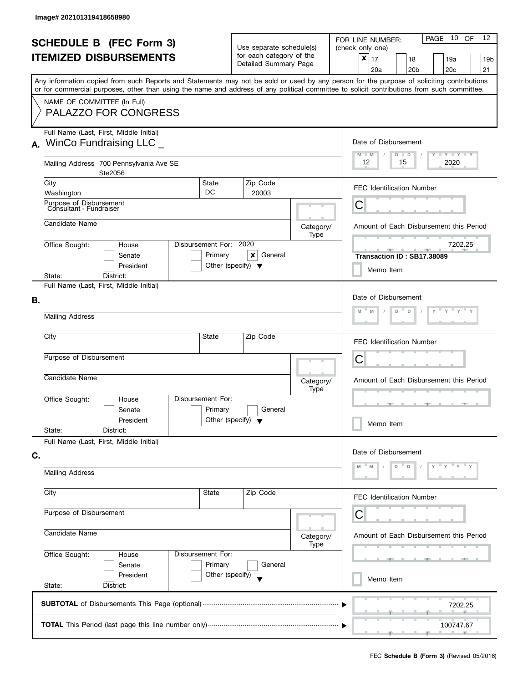| <b>SCHEDULE B (FEC Form 3)</b><br><b>ITEMIZED DISBURSEMENTS</b>                     |                                                    |                                                                                                       |                                                               |                              | Use separate schedule(s)<br>for each category of the         |                                  | 10 OF<br>12<br>PAGE<br>FOR LINE NUMBER:<br>(check only one)<br>$\boldsymbol{x}$<br>17<br>18<br>19a<br>19 <sub>b</sub>                                                                                                                                                                   |  |  |  |
|-------------------------------------------------------------------------------------|----------------------------------------------------|-------------------------------------------------------------------------------------------------------|---------------------------------------------------------------|------------------------------|--------------------------------------------------------------|----------------------------------|-----------------------------------------------------------------------------------------------------------------------------------------------------------------------------------------------------------------------------------------------------------------------------------------|--|--|--|
|                                                                                     |                                                    |                                                                                                       |                                                               |                              | Detailed Summary Page                                        |                                  | 20a<br>20 <sub>b</sub><br>20 <sub>c</sub><br>21                                                                                                                                                                                                                                         |  |  |  |
|                                                                                     |                                                    |                                                                                                       |                                                               |                              |                                                              |                                  | Any information copied from such Reports and Statements may not be sold or used by any person for the purpose of soliciting contributions<br>or for commercial purposes, other than using the name and address of any political committee to solicit contributions from such committee. |  |  |  |
|                                                                                     | NAME OF COMMITTEE (In Full)                        | <b>PALAZZO FOR CONGRESS</b>                                                                           |                                                               |                              |                                                              |                                  |                                                                                                                                                                                                                                                                                         |  |  |  |
|                                                                                     |                                                    | Full Name (Last, First, Middle Initial)<br>$\lambda$ . WinCo Fundraising LLC $\overline{\phantom{a}}$ | Date of Disbursement<br>$M - M$<br>$T - Y = T - Y$<br>$D$ $D$ |                              |                                                              |                                  |                                                                                                                                                                                                                                                                                         |  |  |  |
|                                                                                     |                                                    | Mailing Address 700 Pennsylvania Ave SE<br>Ste2056                                                    |                                                               |                              |                                                              |                                  | 12<br>2020<br>15                                                                                                                                                                                                                                                                        |  |  |  |
|                                                                                     | City<br>Washington                                 |                                                                                                       |                                                               | <b>State</b><br>DC           | Zip Code<br>20003                                            |                                  | <b>FEC Identification Number</b>                                                                                                                                                                                                                                                        |  |  |  |
|                                                                                     | Purpose of Disbursement<br>Consultant - Fundraiser |                                                                                                       |                                                               |                              |                                                              |                                  | Ĉ                                                                                                                                                                                                                                                                                       |  |  |  |
|                                                                                     | Candidate Name                                     |                                                                                                       |                                                               |                              |                                                              | Category/<br>Type                | Amount of Each Disbursement this Period                                                                                                                                                                                                                                                 |  |  |  |
|                                                                                     | Office Sought:                                     | House<br>Senate<br>President                                                                          |                                                               | Disbursement For:<br>Primary | 2020<br>x<br>General<br>Other (specify) $\blacktriangledown$ |                                  | 7202.25<br>Transaction ID: SB17.38089<br>Memo Item                                                                                                                                                                                                                                      |  |  |  |
|                                                                                     | State:                                             | District:<br>Full Name (Last, First, Middle Initial)                                                  |                                                               |                              |                                                              |                                  |                                                                                                                                                                                                                                                                                         |  |  |  |
| В.                                                                                  | Mailing Address                                    |                                                                                                       |                                                               |                              |                                                              |                                  | Date of Disbursement<br>$Y = Y + Y$<br>D<br>D                                                                                                                                                                                                                                           |  |  |  |
|                                                                                     | City<br><b>State</b><br>Zip Code                   |                                                                                                       |                                                               |                              |                                                              |                                  |                                                                                                                                                                                                                                                                                         |  |  |  |
|                                                                                     |                                                    |                                                                                                       |                                                               |                              |                                                              | <b>FEC Identification Number</b> |                                                                                                                                                                                                                                                                                         |  |  |  |
|                                                                                     | Purpose of Disbursement                            |                                                                                                       |                                                               |                              |                                                              |                                  | С                                                                                                                                                                                                                                                                                       |  |  |  |
|                                                                                     | Candidate Name                                     |                                                                                                       |                                                               |                              |                                                              | Category/<br>Type                | Amount of Each Disbursement this Period                                                                                                                                                                                                                                                 |  |  |  |
|                                                                                     | Office Sought:<br>State:                           | House<br>Senate<br>President<br>District:                                                             |                                                               | Disbursement For:<br>Primary | General<br>Other (specify) $\blacktriangledown$              |                                  | 48.<br>Memo Item                                                                                                                                                                                                                                                                        |  |  |  |
|                                                                                     |                                                    | Full Name (Last, First, Middle Initial)                                                               |                                                               |                              |                                                              |                                  |                                                                                                                                                                                                                                                                                         |  |  |  |
| C.                                                                                  |                                                    |                                                                                                       |                                                               |                              |                                                              |                                  | Date of Disbursement<br>D<br>D                                                                                                                                                                                                                                                          |  |  |  |
|                                                                                     | <b>Mailing Address</b>                             |                                                                                                       |                                                               |                              |                                                              |                                  |                                                                                                                                                                                                                                                                                         |  |  |  |
|                                                                                     | City                                               |                                                                                                       |                                                               | State                        | Zip Code                                                     |                                  | <b>FEC Identification Number</b>                                                                                                                                                                                                                                                        |  |  |  |
| Purpose of Disbursement                                                             |                                                    |                                                                                                       |                                                               |                              |                                                              |                                  | С                                                                                                                                                                                                                                                                                       |  |  |  |
| Candidate Name<br>Office Sought:<br>Disbursement For:<br>House<br>Primary<br>Senate |                                                    |                                                                                                       |                                                               |                              |                                                              | Category/<br>Type                | Amount of Each Disbursement this Period                                                                                                                                                                                                                                                 |  |  |  |
|                                                                                     |                                                    |                                                                                                       |                                                               |                              | General                                                      |                                  | --                                                                                                                                                                                                                                                                                      |  |  |  |
|                                                                                     | State:                                             | President<br>District:                                                                                |                                                               | Other (specify)              |                                                              |                                  | Memo Item                                                                                                                                                                                                                                                                               |  |  |  |
|                                                                                     |                                                    |                                                                                                       |                                                               |                              |                                                              |                                  | 7202.25                                                                                                                                                                                                                                                                                 |  |  |  |
|                                                                                     |                                                    |                                                                                                       |                                                               |                              |                                                              |                                  | 100747.67                                                                                                                                                                                                                                                                               |  |  |  |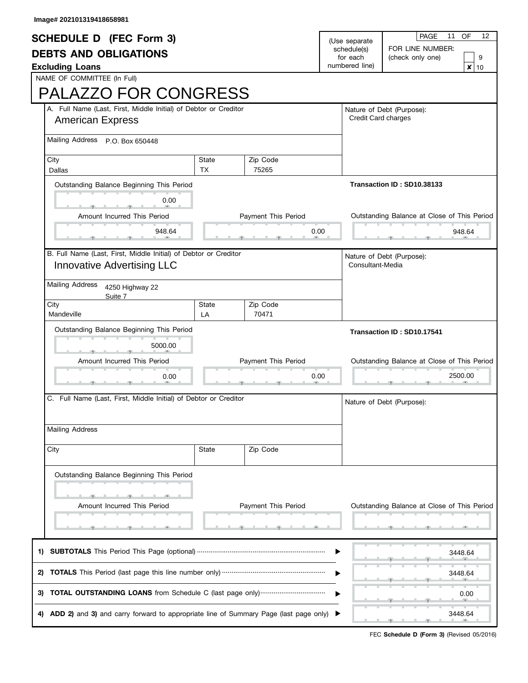| <b>SCHEDULE D (FEC Form 3)</b>                                   |           |                     | (Use separate         | <b>PAGE</b><br>11<br>OF<br>12<br>FOR LINE NUMBER: |  |
|------------------------------------------------------------------|-----------|---------------------|-----------------------|---------------------------------------------------|--|
| <b>DEBTS AND OBLIGATIONS</b>                                     |           | schedule(s)         |                       |                                                   |  |
|                                                                  |           | for each            | (check only one)<br>9 |                                                   |  |
| <b>Excluding Loans</b>                                           |           |                     | numbered line)        | $\pmb{\times}$<br>10                              |  |
| NAME OF COMMITTEE (In Full)                                      |           |                     |                       |                                                   |  |
| <b>PALAZZO FOR CONGRESS</b>                                      |           |                     |                       |                                                   |  |
| A. Full Name (Last, First, Middle Initial) of Debtor or Creditor |           |                     |                       | Nature of Debt (Purpose):                         |  |
| <b>American Express</b>                                          |           | Credit Card charges |                       |                                                   |  |
| <b>Mailing Address</b><br>P.O. Box 650448                        |           |                     |                       |                                                   |  |
| City                                                             | State     | Zip Code            |                       |                                                   |  |
| Dallas                                                           | <b>TX</b> | 75265               |                       |                                                   |  |
| Outstanding Balance Beginning This Period                        |           |                     |                       | Transaction ID: SD10.38133                        |  |
| 0.00                                                             |           |                     |                       |                                                   |  |
| Amount Incurred This Period                                      |           | Payment This Period |                       | Outstanding Balance at Close of This Period       |  |
|                                                                  |           |                     |                       |                                                   |  |
| 948.64                                                           |           | 0.00                |                       | 948.64                                            |  |
| B. Full Name (Last, First, Middle Initial) of Debtor or Creditor |           |                     |                       | Nature of Debt (Purpose):                         |  |
| <b>Innovative Advertising LLC</b>                                |           |                     | Consultant-Media      |                                                   |  |
| <b>Mailing Address</b><br>4250 Highway 22                        |           |                     |                       |                                                   |  |
| Suite 7<br>City                                                  | State     | Zip Code            |                       |                                                   |  |
| Mandeville                                                       | LA        | 70471               |                       |                                                   |  |
|                                                                  |           |                     |                       |                                                   |  |
| Outstanding Balance Beginning This Period                        |           |                     |                       | Transaction ID: SD10.17541                        |  |
|                                                                  |           |                     |                       |                                                   |  |
| 5000.00                                                          |           |                     |                       |                                                   |  |
| Amount Incurred This Period                                      |           | Payment This Period |                       | Outstanding Balance at Close of This Period       |  |
| 0.00                                                             |           | 0.00                |                       | 2500.00                                           |  |
|                                                                  |           |                     |                       |                                                   |  |
| C. Full Name (Last, First, Middle Initial) of Debtor or Creditor |           |                     |                       | Nature of Debt (Purpose):                         |  |
|                                                                  |           |                     |                       |                                                   |  |
| <b>Mailing Address</b>                                           |           |                     |                       |                                                   |  |
| City                                                             | State     | Zip Code            |                       |                                                   |  |
| Outstanding Balance Beginning This Period                        |           |                     |                       |                                                   |  |
|                                                                  |           |                     |                       |                                                   |  |
|                                                                  |           |                     |                       |                                                   |  |
| Amount Incurred This Period                                      |           | Payment This Period |                       | Outstanding Balance at Close of This Period       |  |
|                                                                  |           |                     |                       |                                                   |  |
|                                                                  |           |                     |                       | 3448.64                                           |  |
|                                                                  |           |                     |                       |                                                   |  |
| 2)                                                               |           |                     |                       | 3448.64                                           |  |
|                                                                  |           |                     |                       | 0.00                                              |  |